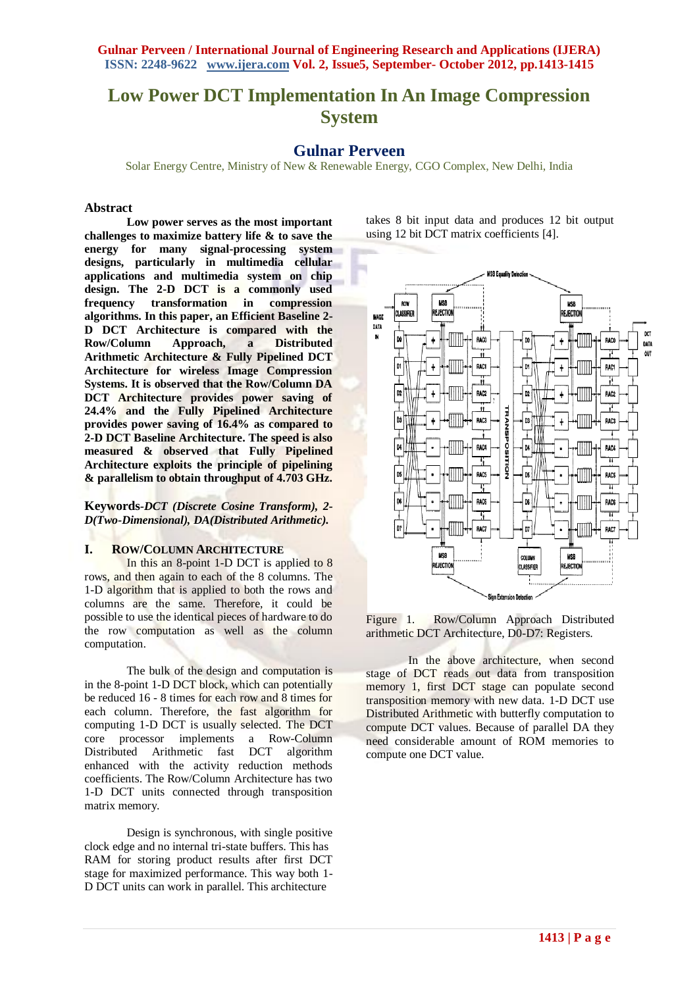**Gulnar Perveen / International Journal of Engineering Research and Applications (IJERA) ISSN: 2248-9622 www.ijera.com Vol. 2, Issue5, September- October 2012, pp.1413-1415**

# **Low Power DCT Implementation In An Image Compression System**

**Gulnar Perveen**

Solar Energy Centre, Ministry of New & Renewable Energy, CGO Complex, New Delhi, India

#### **Abstract**

**Low power serves as the most important challenges to maximize battery life & to save the energy for many signal-processing system designs, particularly in multimedia cellular applications and multimedia system on chip design. The 2-D DCT is a commonly used frequency transformation in compression algorithms. In this paper, an Efficient Baseline 2- D DCT Architecture is compared with the Row/Column Approach, a Distributed Arithmetic Architecture & Fully Pipelined DCT Architecture for wireless Image Compression Systems. It is observed that the Row/Column DA DCT Architecture provides power saving of 24.4% and the Fully Pipelined Architecture provides power saving of 16.4% as compared to 2-D DCT Baseline Architecture. The speed is also measured & observed that Fully Pipelined Architecture exploits the principle of pipelining & parallelism to obtain throughput of 4.703 GHz.**

**Keywords***-DCT (Discrete Cosine Transform), 2- D(Two-Dimensional), DA(Distributed Arithmetic).*

#### **I. ROW/COLUMN ARCHITECTURE**

In this an 8-point 1-D DCT is applied to 8 rows, and then again to each of the 8 columns. The 1-D algorithm that is applied to both the rows and columns are the same. Therefore, it could be possible to use the identical pieces of hardware to do the row computation as well as the column computation.

The bulk of the design and computation is in the 8-point 1-D DCT block, which can potentially be reduced 16 - 8 times for each row and 8 times for each column. Therefore, the fast algorithm for computing 1-D DCT is usually selected. The DCT<br>core processor implements a Row-Column implements a Row-Column Distributed Arithmetic fast DCT algorithm enhanced with the activity reduction methods coefficients. The Row/Column Architecture has two 1-D DCT units connected through transposition matrix memory.

Design is synchronous, with single positive clock edge and no internal tri-state buffers. This has RAM for storing product results after first DCT stage for maximized performance. This way both 1- D DCT units can work in parallel. This architecture

takes 8 bit input data and produces 12 bit output using 12 bit DCT matrix coefficients [4].



Figure 1. Row/Column Approach Distributed arithmetic DCT Architecture, D0-D7: Registers.

In the above architecture, when second stage of DCT reads out data from transposition memory 1, first DCT stage can populate second transposition memory with new data. 1-D DCT use Distributed Arithmetic with butterfly computation to compute DCT values. Because of parallel DA they need considerable amount of ROM memories to compute one DCT value.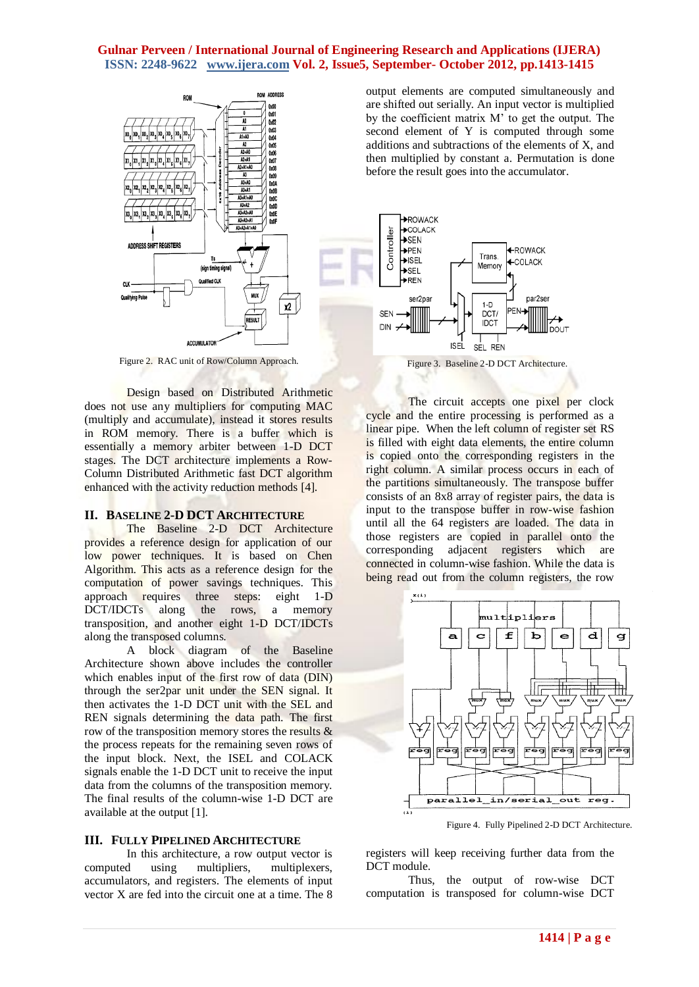#### **Gulnar Perveen / International Journal of Engineering Research and Applications (IJERA) ISSN: 2248-9622 www.ijera.com Vol. 2, Issue5, September- October 2012, pp.1413-1415**



Figure 2. RAC unit of Row/Column Approach. Figure 3. Baseline 2-D DCT Architecture.

Design based on Distributed Arithmetic does not use any multipliers for computing MAC (multiply and accumulate), instead it stores results in ROM memory. There is a buffer which is essentially a memory arbiter between 1-D DCT stages. The DCT architecture implements a Row-Column Distributed Arithmetic fast DCT algorithm enhanced with the activity reduction methods [4].

#### **II. BASELINE 2-D DCT ARCHITECTURE**

The Baseline 2-D DCT Architecture provides a reference design for application of our low power techniques. It is based on Chen Algorithm. This acts as a reference design for the computation of power savings techniques. This approach requires three steps: eight 1-D DCT/IDCTs along the rows, a memory transposition, and another eight 1-D DCT/IDCTs along the transposed columns.

A block diagram of the Baseline Architecture shown above includes the controller which enables input of the first row of data (DIN) through the ser2par unit under the SEN signal. It then activates the 1-D DCT unit with the SEL and REN signals determining the data path. The first row of the transposition memory stores the results & the process repeats for the remaining seven rows of the input block. Next, the ISEL and COLACK signals enable the 1-D DCT unit to receive the input data from the columns of the transposition memory. The final results of the column-wise 1-D DCT are available at the output [1].

#### **III. FULLY PIPELINED ARCHITECTURE**

In this architecture, a row output vector is computed using multipliers, multiplexers, accumulators, and registers. The elements of input vector X are fed into the circuit one at a time. The 8 output elements are computed simultaneously and are shifted out serially. An input vector is multiplied by the coefficient matrix M' to get the output. The second element of Y is computed through some additions and subtractions of the elements of X, and then multiplied by constant a. Permutation is done before the result goes into the accumulator.



The circuit accepts one pixel per clock cycle and the entire processing is performed as a linear pipe. When the left column of register set RS is filled with eight data elements, the entire column is copied onto the corresponding registers in the right column. A similar process occurs in each of the partitions simultaneously. The transpose buffer consists of an 8x8 array of register pairs, the data is input to the transpose buffer in row-wise fashion until all the 64 registers are loaded. The data in those registers are copied in parallel onto the corresponding adjacent registers which are connected in column-wise fashion. While the data is being read out from the column registers, the row



Figure 4. Fully Pipelined 2-D DCT Architecture.

registers will keep receiving further data from the DCT module.

Thus, the output of row-wise DCT computation is transposed for column-wise DCT